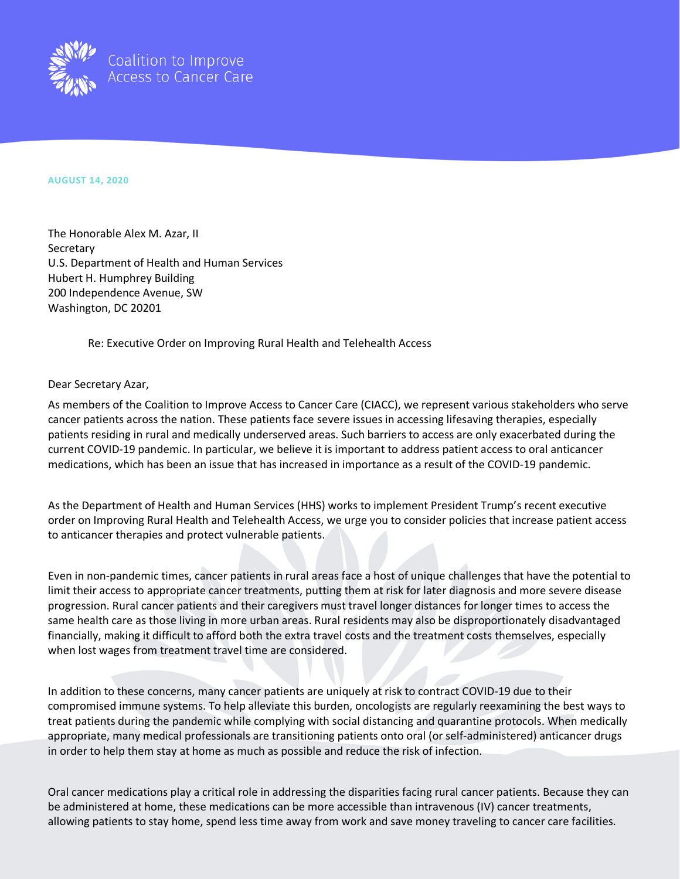

## **AUGUST 14, 2020**

The Honorable Alex M. Azar, II **Secretary** U.S. Department of Health and Human Services Hubert H. Humphrey Building 200 Independence Avenue, SW Washington, DC 20201

Re: Executive Order on Improving Rural Health and Telehealth Access

## Dear Secretary Azar,

As members of the Coalition to Improve Access to Cancer Care (CIACC), we represent various stakeholders who serve cancer patients across the nation. These patients face severe issues in accessing lifesaving therapies, especially patients residing in rural and medically underserved areas. Such barriers to access are only exacerbated during the current COVID-19 pandemic. In particular, we believe it is important to address patient access to oral anticancer medications, which has been an issue that has increased in importance as a result of the COVID-19 pandemic.

As the Department of Health and Human Services (HHS) works to implement President Trump's recent executive order on Improving Rural Health and Telehealth Access, we urge you to consider policies that increase patient access to anticancer therapies and protect vulnerable patients.

Even in non-pandemic times, cancer patients in rural areas face a host of unique challenges that have the potential to limit their access to appropriate cancer treatments, putting them at risk for later diagnosis and more severe disease progression. Rural cancer patients and their caregivers must travel longer distances for longer times to access the same health care as those living in more urban areas. Rural residents may also be disproportionately disadvantaged financially, making it difficult to afford both the extra travel costs and the treatment costs themselves, especially when lost wages from treatment travel time are considered.

In addition to these concerns, many cancer patients are uniquely at risk to contract COVID-19 due to their compromised immune systems. To help alleviate this burden, oncologists are regularly reexamining the best ways to treat patients during the pandemic while complying with social distancing and quarantine protocols. When medically appropriate, many medical professionals are transitioning patients onto oral (or self-administered) anticancer drugs in order to help them stay at home as much as possible and reduce the risk of infection.

Oral cancer medications play a critical role in addressing the disparities facing rural cancer patients. Because they can be administered at home, these medications can be more accessible than intravenous (IV) cancer treatments, allowing patients to stay home, spend less time away from work and save money traveling to cancer care facilities.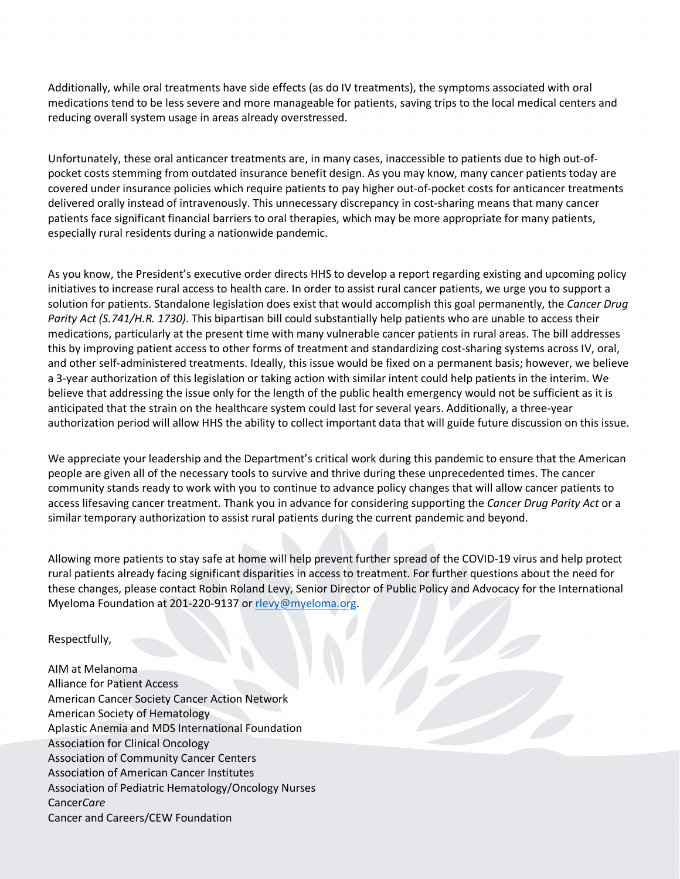Additionally, while oral treatments have side effects (as do IV treatments), the symptoms associated with oral medications tend to be less severe and more manageable for patients, saving trips to the local medical centers and reducing overall system usage in areas already overstressed.

Unfortunately, these oral anticancer treatments are, in many cases, inaccessible to patients due to high out-ofpocket costs stemming from outdated insurance benefit design. As you may know, many cancer patients today are covered under insurance policies which require patients to pay higher out-of-pocket costs for anticancer treatments delivered orally instead of intravenously. This unnecessary discrepancy in cost-sharing means that many cancer patients face significant financial barriers to oral therapies, which may be more appropriate for many patients, especially rural residents during a nationwide pandemic.

As you know, the President's executive order directs HHS to develop a report regarding existing and upcoming policy initiatives to increase rural access to health care. In order to assist rural cancer patients, we urge you to support a solution for patients. Standalone legislation does exist that would accomplish this goal permanently, the *Cancer Drug Parity Act (S.741/H.R. 1730)*. This bipartisan bill could substantially help patients who are unable to access their medications, particularly at the present time with many vulnerable cancer patients in rural areas. The bill addresses this by improving patient access to other forms of treatment and standardizing cost-sharing systems across IV, oral, and other self-administered treatments. Ideally, this issue would be fixed on a permanent basis; however, we believe a 3-year authorization of this legislation or taking action with similar intent could help patients in the interim. We believe that addressing the issue only for the length of the public health emergency would not be sufficient as it is anticipated that the strain on the healthcare system could last for several years. Additionally, a three-year authorization period will allow HHS the ability to collect important data that will guide future discussion on this issue.

We appreciate your leadership and the Department's critical work during this pandemic to ensure that the American people are given all of the necessary tools to survive and thrive during these unprecedented times. The cancer community stands ready to work with you to continue to advance policy changes that will allow cancer patients to access lifesaving cancer treatment. Thank you in advance for considering supporting the *Cancer Drug Parity Act* or a similar temporary authorization to assist rural patients during the current pandemic and beyond.

Allowing more patients to stay safe at home will help prevent further spread of the COVID-19 virus and help protect rural patients already facing significant disparities in access to treatment. For further questions about the need for these changes, please contact Robin Roland Levy, Senior Director of Public Policy and Advocacy for the International Myeloma Foundation at 201-220-9137 or [rlevy@myeloma.org.](mailto:rlevy@myeloma.org)

Respectfully,

AIM at Melanoma Alliance for Patient Access American Cancer Society Cancer Action Network American Society of Hematology Aplastic Anemia and MDS International Foundation Association for Clinical Oncology Association of Community Cancer Centers Association of American Cancer Institutes Association of Pediatric Hematology/Oncology Nurses Cancer*Care*  Cancer and Careers/CEW Foundation